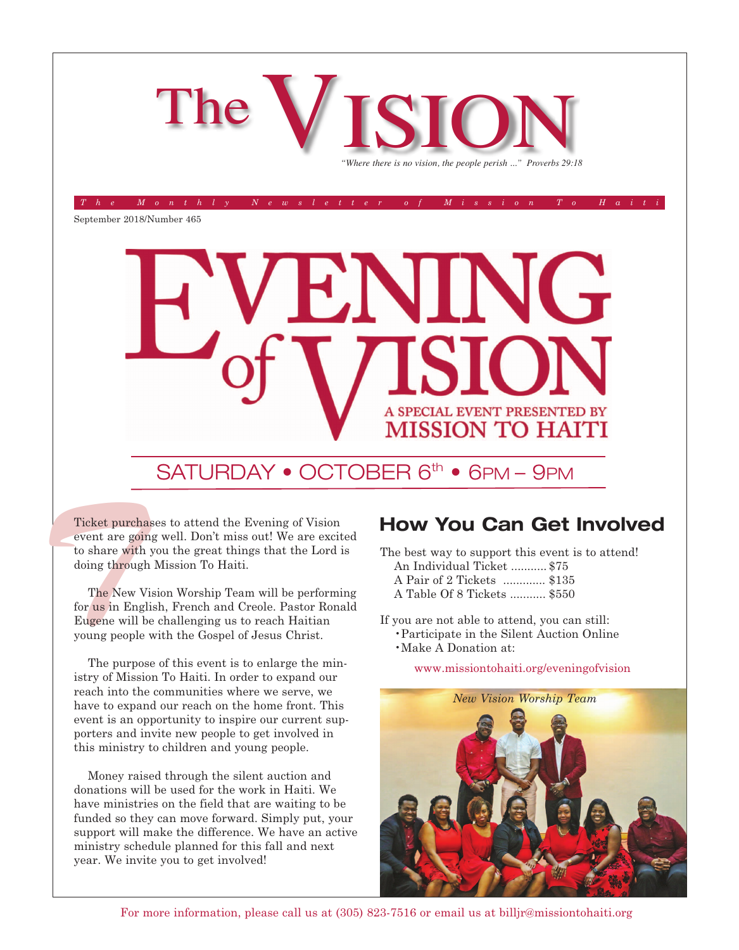

*The Monthly Newsletter of Mission To Haiti*

September 2018/Number 465



#### SATURDAY • OCTOBER 6<sup>th</sup> • 6PM – 9PM

Ticket purchase<br>
event are goin<br>
to share with<br>
doing through<br>
The New Vi<br>
for us in Engli<br>
Eugene will be Ticket purchases to attend the Evening of Vision event are going well. Don't miss out! We are excited to share with you the great things that the Lord is doing through Mission To Haiti.

The New Vision Worship Team will be performing for us in English, French and Creole. Pastor Ronald Eugene will be challenging us to reach Haitian young people with the Gospel of Jesus Christ.

The purpose of this event is to enlarge the ministry of Mission To Haiti. In order to expand our reach into the communities where we serve, we have to expand our reach on the home front. This event is an opportunity to inspire our current supporters and invite new people to get involved in this ministry to children and young people.

Money raised through the silent auction and donations will be used for the work in Haiti. We have ministries on the field that are waiting to be funded so they can move forward. Simply put, your support will make the difference. We have an active ministry schedule planned for this fall and next year. We invite you to get involved!

#### **How You Can Get Involved**

The best way to support this event is to attend! An Individual Ticket ........... \$75

- A Pair of 2 Tickets ............. \$135
- A Table Of 8 Tickets ........... \$550

If you are not able to attend, you can still:

- •Participate in the Silent Auction Online
- •Make A Donation at:

www.missiontohaiti.org/eveningofvision